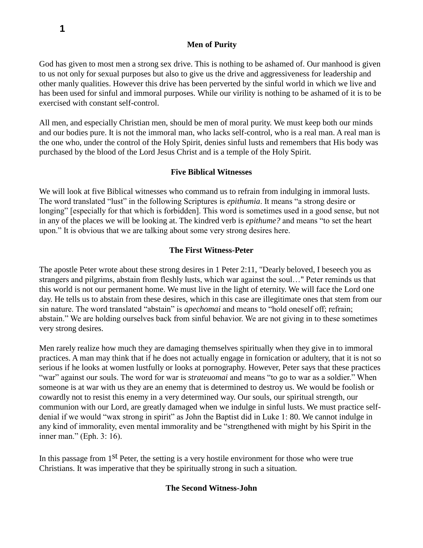# **Men of Purity**

God has given to most men a strong sex drive. This is nothing to be ashamed of. Our manhood is given to us not only for sexual purposes but also to give us the drive and aggressiveness for leadership and other manly qualities. However this drive has been perverted by the sinful world in which we live and has been used for sinful and immoral purposes. While our virility is nothing to be ashamed of it is to be exercised with constant self-control.

All men, and especially Christian men, should be men of moral purity. We must keep both our minds and our bodies pure. It is not the immoral man, who lacks self-control, who is a real man. A real man is the one who, under the control of the Holy Spirit, denies sinful lusts and remembers that His body was purchased by the blood of the Lord Jesus Christ and is a temple of the Holy Spirit.

# **Five Biblical Witnesses**

We will look at five Biblical witnesses who command us to refrain from indulging in immoral lusts. The word translated "lust" in the following Scriptures is *epithumia*. It means "a strong desire or longing" [especially for that which is forbidden]. This word is sometimes used in a good sense, but not in any of the places we will be looking at. The kindred verb is *epithume?* and means "to set the heart upon." It is obvious that we are talking about some very strong desires here.

### **The First Witness-Peter**

The apostle Peter wrote about these strong desires in 1 Peter 2:11, "Dearly beloved, I beseech you as strangers and pilgrims, abstain from fleshly lusts, which war against the soul…" Peter reminds us that this world is not our permanent home. We must live in the light of eternity. We will face the Lord one day. He tells us to abstain from these desires, which in this case are illegitimate ones that stem from our sin nature. The word translated "abstain" is *apechomai* and means to "hold oneself off; refrain; abstain." We are holding ourselves back from sinful behavior. We are not giving in to these sometimes very strong desires.

Men rarely realize how much they are damaging themselves spiritually when they give in to immoral practices. A man may think that if he does not actually engage in fornication or adultery, that it is not so serious if he looks at women lustfully or looks at pornography. However, Peter says that these practices "war" against our souls. The word for war is *strateuomai* and means "to go to war as a soldier." When someone is at war with us they are an enemy that is determined to destroy us. We would be foolish or cowardly not to resist this enemy in a very determined way. Our souls, our spiritual strength, our communion with our Lord, are greatly damaged when we indulge in sinful lusts. We must practice selfdenial if we would "wax strong in spirit" as John the Baptist did in Luke 1: 80. We cannot indulge in any kind of immorality, even mental immorality and be "strengthened with might by his Spirit in the inner man." (Eph. 3: 16).

In this passage from  $1<sup>st</sup>$  Peter, the setting is a very hostile environment for those who were true Christians. It was imperative that they be spiritually strong in such a situation.

### **The Second Witness-John**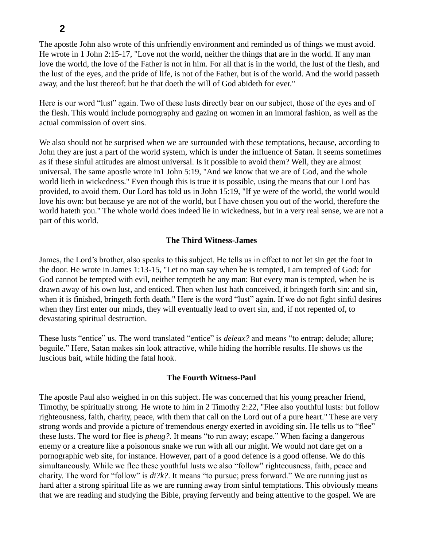The apostle John also wrote of this unfriendly environment and reminded us of things we must avoid. He wrote in 1 John 2:15-17, "Love not the world, neither the things that are in the world. If any man love the world, the love of the Father is not in him. For all that is in the world, the lust of the flesh, and the lust of the eyes, and the pride of life, is not of the Father, but is of the world. And the world passeth away, and the lust thereof: but he that doeth the will of God abideth for ever."

Here is our word "lust" again. Two of these lusts directly bear on our subject, those of the eyes and of the flesh. This would include pornography and gazing on women in an immoral fashion, as well as the actual commission of overt sins.

We also should not be surprised when we are surrounded with these temptations, because, according to John they are just a part of the world system, which is under the influence of Satan. It seems sometimes as if these sinful attitudes are almost universal. Is it possible to avoid them? Well, they are almost universal. The same apostle wrote in1 John 5:19, "And we know that we are of God, and the whole world lieth in wickedness." Even though this is true it is possible, using the means that our Lord has provided, to avoid them. Our Lord has told us in John 15:19, "If ye were of the world, the world would love his own: but because ye are not of the world, but I have chosen you out of the world, therefore the world hateth you." The whole world does indeed lie in wickedness, but in a very real sense, we are not a part of this world.

# **The Third Witness-James**

James, the Lord's brother, also speaks to this subject. He tells us in effect to not let sin get the foot in the door. He wrote in James 1:13-15, "Let no man say when he is tempted, I am tempted of God: for God cannot be tempted with evil, neither tempteth he any man: But every man is tempted, when he is drawn away of his own lust, and enticed. Then when lust hath conceived, it bringeth forth sin: and sin, when it is finished, bringeth forth death." Here is the word "lust" again. If we do not fight sinful desires when they first enter our minds, they will eventually lead to overt sin, and, if not repented of, to devastating spiritual destruction.

These lusts "entice" us. The word translated "entice" is *deleax?* and means "to entrap; delude; allure; beguile." Here, Satan makes sin look attractive, while hiding the horrible results. He shows us the luscious bait, while hiding the fatal hook.

# **The Fourth Witness-Paul**

The apostle Paul also weighed in on this subject. He was concerned that his young preacher friend, Timothy, be spiritually strong. He wrote to him in 2 Timothy 2:22, "Flee also youthful lusts: but follow righteousness, faith, charity, peace, with them that call on the Lord out of a pure heart." These are very strong words and provide a picture of tremendous energy exerted in avoiding sin. He tells us to "flee" these lusts. The word for flee is *pheug?*. It means "to run away; escape." When facing a dangerous enemy or a creature like a poisonous snake we run with all our might. We would not dare get on a pornographic web site, for instance. However, part of a good defence is a good offense. We do this simultaneously. While we flee these youthful lusts we also "follow" righteousness, faith, peace and charity. The word for "follow" is *di?k?*. It means "to pursue; press forward." We are running just as hard after a strong spiritual life as we are running away from sinful temptations. This obviously means that we are reading and studying the Bible, praying fervently and being attentive to the gospel. We are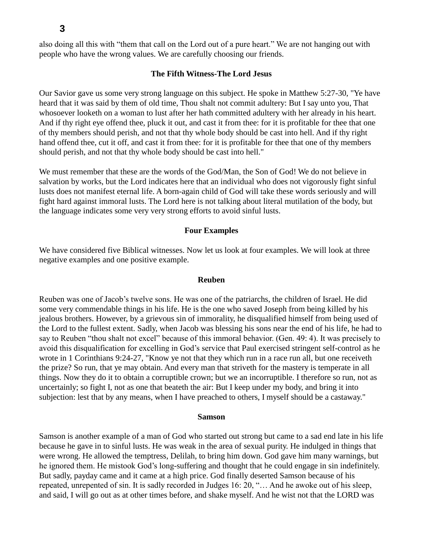also doing all this with "them that call on the Lord out of a pure heart." We are not hanging out with people who have the wrong values. We are carefully choosing our friends.

### **The Fifth Witness-The Lord Jesus**

Our Savior gave us some very strong language on this subject. He spoke in Matthew 5:27-30, "Ye have heard that it was said by them of old time, Thou shalt not commit adultery: But I say unto you, That whosoever looketh on a woman to lust after her hath committed adultery with her already in his heart. And if thy right eye offend thee, pluck it out, and cast it from thee: for it is profitable for thee that one of thy members should perish, and not that thy whole body should be cast into hell. And if thy right hand offend thee, cut it off, and cast it from thee: for it is profitable for thee that one of thy members should perish, and not that thy whole body should be cast into hell."

We must remember that these are the words of the God/Man, the Son of God! We do not believe in salvation by works, but the Lord indicates here that an individual who does not vigorously fight sinful lusts does not manifest eternal life. A born-again child of God will take these words seriously and will fight hard against immoral lusts. The Lord here is not talking about literal mutilation of the body, but the language indicates some very very strong efforts to avoid sinful lusts.

#### **Four Examples**

We have considered five Biblical witnesses. Now let us look at four examples. We will look at three negative examples and one positive example.

### **Reuben**

Reuben was one of Jacob's twelve sons. He was one of the patriarchs, the children of Israel. He did some very commendable things in his life. He is the one who saved Joseph from being killed by his jealous brothers. However, by a grievous sin of immorality, he disqualified himself from being used of the Lord to the fullest extent. Sadly, when Jacob was blessing his sons near the end of his life, he had to say to Reuben "thou shalt not excel" because of this immoral behavior. (Gen. 49: 4). It was precisely to avoid this disqualification for excelling in God's service that Paul exercised stringent self-control as he wrote in 1 Corinthians 9:24-27, "Know ye not that they which run in a race run all, but one receiveth the prize? So run, that ye may obtain. And every man that striveth for the mastery is temperate in all things. Now they do it to obtain a corruptible crown; but we an incorruptible. I therefore so run, not as uncertainly; so fight I, not as one that beateth the air: But I keep under my body, and bring it into subjection: lest that by any means, when I have preached to others, I myself should be a castaway."

#### **Samson**

Samson is another example of a man of God who started out strong but came to a sad end late in his life because he gave in to sinful lusts. He was weak in the area of sexual purity. He indulged in things that were wrong. He allowed the temptress, Delilah, to bring him down. God gave him many warnings, but he ignored them. He mistook God's long-suffering and thought that he could engage in sin indefinitely. But sadly, payday came and it came at a high price. God finally deserted Samson because of his repeated, unrepented of sin. It is sadly recorded in Judges 16: 20, "… And he awoke out of his sleep, and said, I will go out as at other times before, and shake myself. And he wist not that the LORD was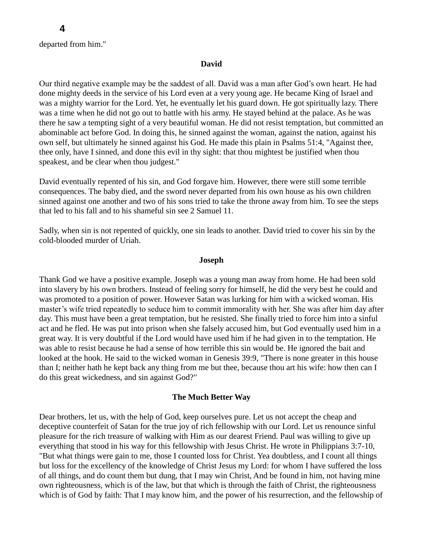departed from him."

#### **David**

Our third negative example may be the saddest of all. David was a man after God's own heart. He had done mighty deeds in the service of his Lord even at a very young age. He became King of Israel and was a mighty warrior for the Lord. Yet, he eventually let his guard down. He got spiritually lazy. There was a time when he did not go out to battle with his army. He stayed behind at the palace. As he was there he saw a tempting sight of a very beautiful woman. He did not resist temptation, but committed an abominable act before God. In doing this, he sinned against the woman, against the nation, against his own self, but ultimately he sinned against his God. He made this plain in Psalms 51:4, "Against thee, thee only, have I sinned, and done this evil in thy sight: that thou mightest be justified when thou speakest, and be clear when thou judgest."

David eventually repented of his sin, and God forgave him. However, there were still some terrible consequences. The baby died, and the sword never departed from his own house as his own children sinned against one another and two of his sons tried to take the throne away from him. To see the steps that led to his fall and to his shameful sin see 2 Samuel 11.

Sadly, when sin is not repented of quickly, one sin leads to another. David tried to cover his sin by the cold-blooded murder of Uriah.

### **Joseph**

Thank God we have a positive example. Joseph was a young man away from home. He had been sold into slavery by his own brothers. Instead of feeling sorry for himself, he did the very best he could and was promoted to a position of power. However Satan was lurking for him with a wicked woman. His master's wife tried repeatedly to seduce him to commit immorality with her. She was after him day after day. This must have been a great temptation, but he resisted. She finally tried to force him into a sinful act and he fled. He was put into prison when she falsely accused him, but God eventually used him in a great way. It is very doubtful if the Lord would have used him if he had given in to the temptation. He was able to resist because he had a sense of how terrible this sin would be. He ignored the bait and looked at the hook. He said to the wicked woman in Genesis 39:9, "There is none greater in this house than I; neither hath he kept back any thing from me but thee, because thou art his wife: how then can I do this great wickedness, and sin against God?"

#### **The Much Better Way**

Dear brothers, let us, with the help of God, keep ourselves pure. Let us not accept the cheap and deceptive counterfeit of Satan for the true joy of rich fellowship with our Lord. Let us renounce sinful pleasure for the rich treasure of walking with Him as our dearest Friend. Paul was willing to give up everything that stood in his way for this fellowship with Jesus Christ. He wrote in Philippians 3:7-10, "But what things were gain to me, those I counted loss for Christ. Yea doubtless, and I count all things but loss for the excellency of the knowledge of Christ Jesus my Lord: for whom I have suffered the loss of all things, and do count them but dung, that I may win Christ, And be found in him, not having mine own righteousness, which is of the law, but that which is through the faith of Christ, the righteousness which is of God by faith: That I may know him, and the power of his resurrection, and the fellowship of